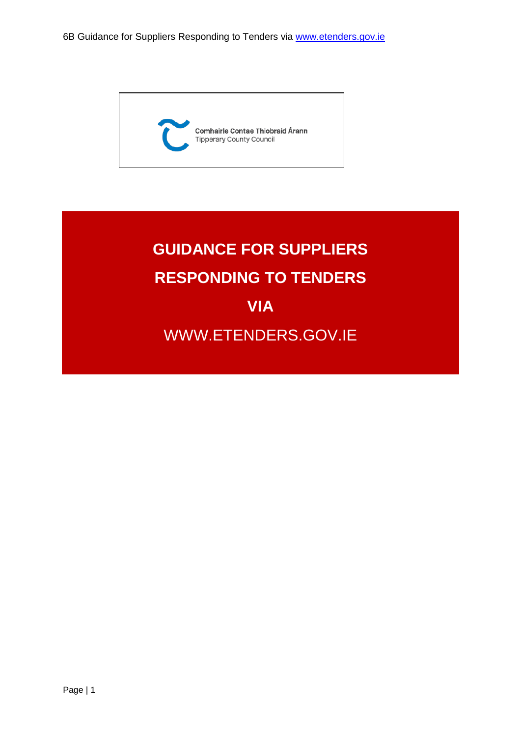

# **GUIDANCE FOR SUPPLIERS RESPONDING TO TENDERS VIA** WWW.ETENDERS.GOV.IE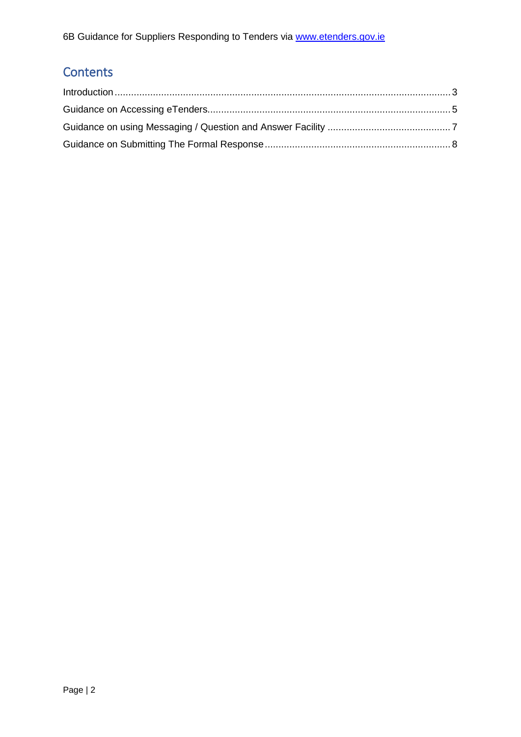6B Guidance for Suppliers Responding to Tenders via **www.etenders.gov.ie** 

## **Contents**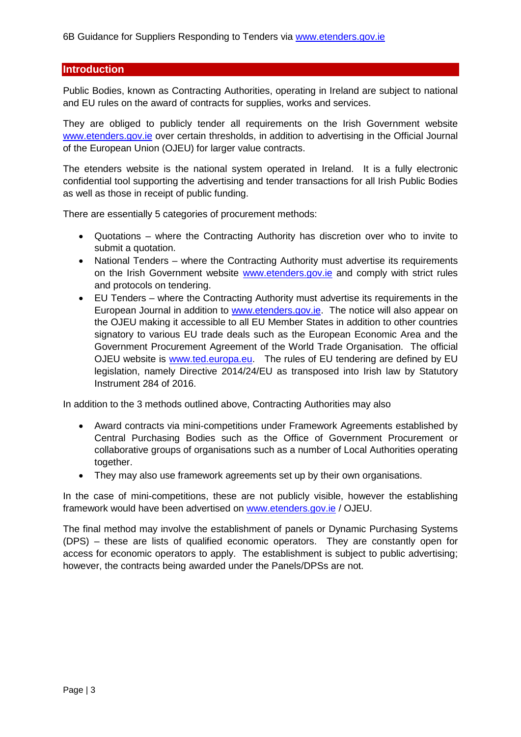#### <span id="page-2-0"></span>**Introduction**

Public Bodies, known as Contracting Authorities, operating in Ireland are subject to national and EU rules on the award of contracts for supplies, works and services.

They are obliged to publicly tender all requirements on the Irish Government website [www.etenders.gov.ie](http://www.etenders.gov.ie/) over certain thresholds, in addition to advertising in the Official Journal of the European Union (OJEU) for larger value contracts.

The etenders website is the national system operated in Ireland. It is a fully electronic confidential tool supporting the advertising and tender transactions for all Irish Public Bodies as well as those in receipt of public funding.

There are essentially 5 categories of procurement methods:

- Quotations where the Contracting Authority has discretion over who to invite to submit a quotation.
- National Tenders where the Contracting Authority must advertise its requirements on the Irish Government website [www.etenders.gov.ie](http://www.etenders.gov.ie/) and comply with strict rules and protocols on tendering.
- EU Tenders where the Contracting Authority must advertise its requirements in the European Journal in addition to [www.etenders.gov.ie.](http://www.etenders.gov.ie/) The notice will also appear on the OJEU making it accessible to all EU Member States in addition to other countries signatory to various EU trade deals such as the European Economic Area and the Government Procurement Agreement of the World Trade Organisation. The official OJEU website is [www.ted.europa.eu.](http://www.ted.europa.eu/) The rules of EU tendering are defined by EU legislation, namely Directive 2014/24/EU as transposed into Irish law by Statutory Instrument 284 of 2016.

In addition to the 3 methods outlined above, Contracting Authorities may also

- Award contracts via mini-competitions under Framework Agreements established by Central Purchasing Bodies such as the Office of Government Procurement or collaborative groups of organisations such as a number of Local Authorities operating together.
- They may also use framework agreements set up by their own organisations.

In the case of mini-competitions, these are not publicly visible, however the establishing framework would have been advertised on [www.etenders.gov.ie](http://www.etenders.gov.ie/) / OJEU.

The final method may involve the establishment of panels or Dynamic Purchasing Systems (DPS) – these are lists of qualified economic operators. They are constantly open for access for economic operators to apply. The establishment is subject to public advertising; however, the contracts being awarded under the Panels/DPSs are not.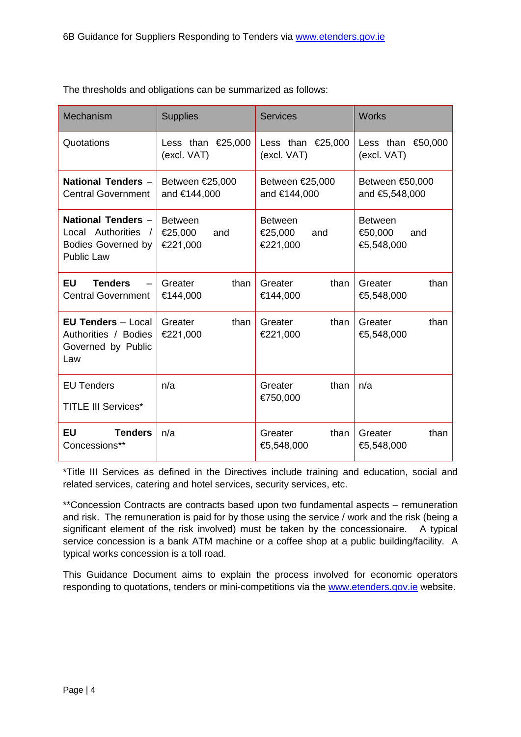| Mechanism                                                                      | <b>Supplies</b>             | <b>Services</b>             | <b>Works</b>                  |
|--------------------------------------------------------------------------------|-----------------------------|-----------------------------|-------------------------------|
| Quotations                                                                     | Less than $\epsilon$ 25,000 | Less than $\epsilon$ 25,000 | Less than $$0,000$            |
|                                                                                | (excl. VAT)                 | (excl. VAT)                 | (excl. VAT)                   |
| National Tenders -                                                             | Between €25,000             | Between €25,000             | Between €50,000               |
| <b>Central Government</b>                                                      | and €144,000                | and €144,000                | and €5,548,000                |
| National Tenders -                                                             | <b>Between</b>              | <b>Between</b>              | <b>Between</b>                |
| Local Authorities                                                              | €25,000                     | €25,000                     | €50,000                       |
| <b>Bodies Governed by</b>                                                      | and                         | and                         | and                           |
| <b>Public Law</b>                                                              | €221,000                    | €221,000                    | €5,548,000                    |
| <b>EU</b>                                                                      | Greater                     | than                        | Greater                       |
| <b>Tenders</b>                                                                 | than                        | Greater                     | than                          |
| <b>Central Government</b>                                                      | €144,000                    | €144,000                    | €5,548,000                    |
| <b>EU Tenders - Local</b><br>Authorities / Bodies<br>Governed by Public<br>Law | than<br>Greater<br>€221,000 | than<br>Greater<br>€221,000 | than<br>Greater<br>€5,548,000 |
| <b>EU Tenders</b><br><b>TITLE III Services*</b>                                | n/a                         | than<br>Greater<br>€750,000 | n/a                           |
| <b>EU</b>                                                                      | n/a                         | Greater                     | Greater                       |
| <b>Tenders</b>                                                                 |                             | than                        | than                          |
| Concessions**                                                                  |                             | €5,548,000                  | €5,548,000                    |

The thresholds and obligations can be summarized as follows:

\*Title III Services as defined in the Directives include training and education, social and related services, catering and hotel services, security services, etc.

\*\*Concession Contracts are contracts based upon two fundamental aspects – remuneration and risk. The remuneration is paid for by those using the service / work and the risk (being a significant element of the risk involved) must be taken by the concessionaire. A typical service concession is a bank ATM machine or a coffee shop at a public building/facility. A typical works concession is a toll road.

This Guidance Document aims to explain the process involved for economic operators responding to quotations, tenders or mini-competitions via the [www.etenders.gov.ie](http://www.etenders.gov.ie/) website.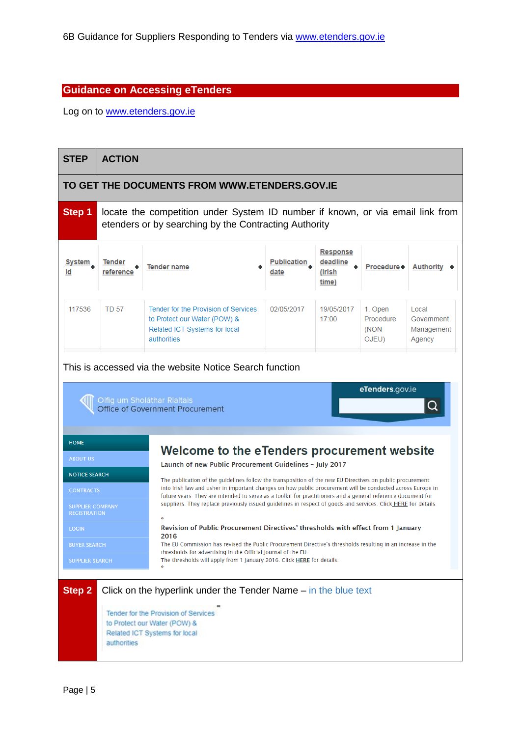#### <span id="page-4-0"></span>**Guidance on Accessing eTenders**

Log on to [www.etenders.gov.ie](http://www.etenders.gov.ie/)

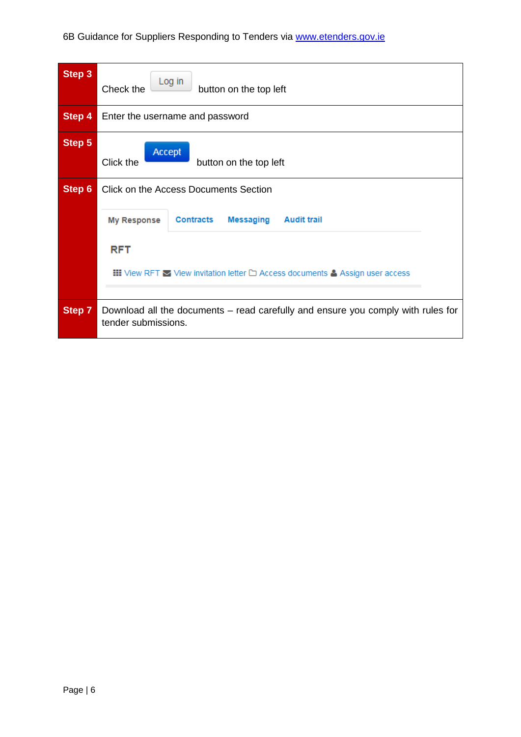| Step 3        | Log in<br>Check the<br>button on the top left                                                                        |  |  |
|---------------|----------------------------------------------------------------------------------------------------------------------|--|--|
| <b>Step 4</b> | Enter the username and password                                                                                      |  |  |
| Step 5        | Accept<br>Click the<br>button on the top left                                                                        |  |  |
| Step 6        | <b>Click on the Access Documents Section</b>                                                                         |  |  |
|               | <b>Messaging</b><br><b>Audit trail</b><br><b>Contracts</b><br><b>My Response</b>                                     |  |  |
|               | <b>RFT</b>                                                                                                           |  |  |
|               | $\textbf{III}$ View RFT $\blacktriangleright$ View invitation letter $\square$ Access documents & Assign user access |  |  |
| Step 7        | Download all the documents – read carefully and ensure you comply with rules for<br>tender submissions.              |  |  |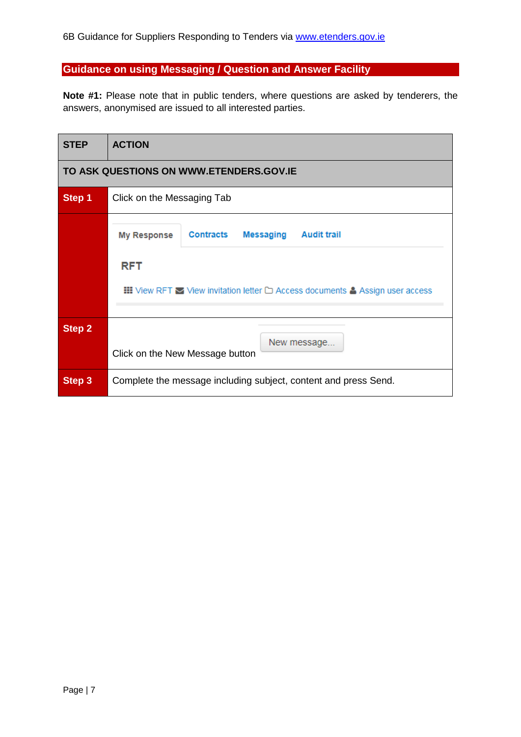## <span id="page-6-0"></span>**Guidance on using Messaging / Question and Answer Facility**

**Note #1:** Please note that in public tenders, where questions are asked by tenderers, the answers, anonymised are issued to all interested parties.

| <b>STEP</b>                             | <b>ACTION</b>                                                                                                                                                                                            |  |  |  |  |
|-----------------------------------------|----------------------------------------------------------------------------------------------------------------------------------------------------------------------------------------------------------|--|--|--|--|
| TO ASK QUESTIONS ON WWW.ETENDERS.GOV.IE |                                                                                                                                                                                                          |  |  |  |  |
| Step 1                                  | Click on the Messaging Tab                                                                                                                                                                               |  |  |  |  |
|                                         | Contracts<br><b>Messaging</b><br><b>Audit trail</b><br><b>My Response</b><br><b>RFT</b><br><b>III</b> View RFT $\blacktriangleright$ View invitation letter $\Box$ Access documents & Assign user access |  |  |  |  |
| <b>Step 2</b>                           | New message<br>Click on the New Message button                                                                                                                                                           |  |  |  |  |
| Step 3                                  | Complete the message including subject, content and press Send.                                                                                                                                          |  |  |  |  |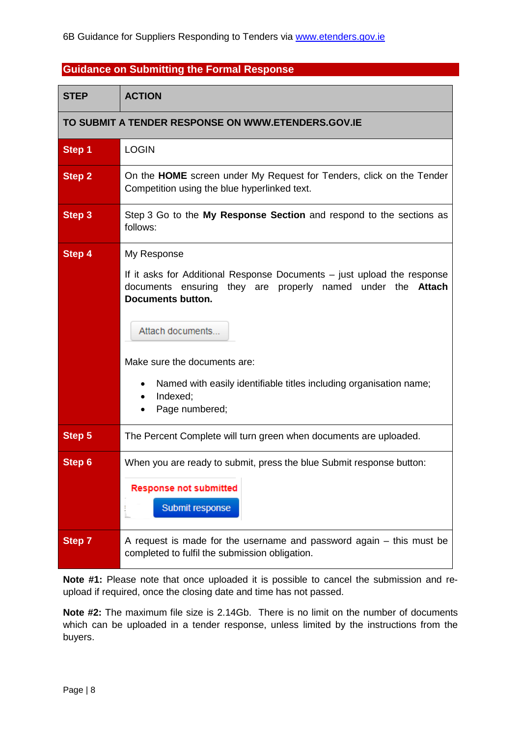### <span id="page-7-0"></span>**Guidance on Submitting the Formal Response**

| STEP                                               | <b>ACTION</b>                                                                                                                                                                                                                                                                                                                                                |  |  |  |
|----------------------------------------------------|--------------------------------------------------------------------------------------------------------------------------------------------------------------------------------------------------------------------------------------------------------------------------------------------------------------------------------------------------------------|--|--|--|
| TO SUBMIT A TENDER RESPONSE ON WWW.ETENDERS.GOV.IE |                                                                                                                                                                                                                                                                                                                                                              |  |  |  |
| Step 1                                             | <b>LOGIN</b>                                                                                                                                                                                                                                                                                                                                                 |  |  |  |
| Step 2                                             | On the HOME screen under My Request for Tenders, click on the Tender<br>Competition using the blue hyperlinked text.                                                                                                                                                                                                                                         |  |  |  |
| Step 3                                             | Step 3 Go to the My Response Section and respond to the sections as<br>follows:                                                                                                                                                                                                                                                                              |  |  |  |
| Step 4                                             | My Response<br>If it asks for Additional Response Documents - just upload the response<br>they are properly<br>named under<br>the<br><b>Attach</b><br>documents ensuring<br><b>Documents button.</b><br>Attach documents<br>Make sure the documents are:<br>Named with easily identifiable titles including organisation name;<br>Indexed;<br>Page numbered; |  |  |  |
| Step 5                                             | The Percent Complete will turn green when documents are uploaded.                                                                                                                                                                                                                                                                                            |  |  |  |
| Step 6                                             | When you are ready to submit, press the blue Submit response button:<br><b>Response not submitted</b><br>Submit response                                                                                                                                                                                                                                     |  |  |  |
| Step 7                                             | A request is made for the username and password again $-$ this must be<br>completed to fulfil the submission obligation.                                                                                                                                                                                                                                     |  |  |  |

**Note #1:** Please note that once uploaded it is possible to cancel the submission and reupload if required, once the closing date and time has not passed.

**Note #2:** The maximum file size is 2.14Gb. There is no limit on the number of documents which can be uploaded in a tender response, unless limited by the instructions from the buyers.